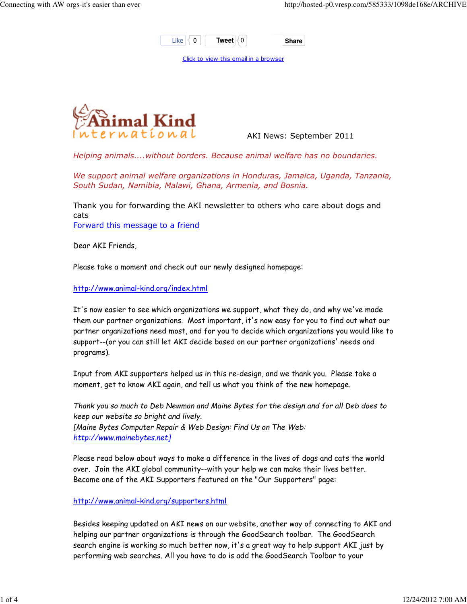

Click to view this email in a browser



AKI News: September 2011

Helping animals....without borders. Because animal welfare has no boundaries.

We support animal welfare organizations in Honduras, Jamaica, Uganda, Tanzania, South Sudan, Namibia, Malawi, Ghana, Armenia, and Bosnia.

Thank you for forwarding the AKI newsletter to others who care about dogs and cats Forward this message to a friend

Dear AKI Friends,

Please take a moment and check out our newly designed homepage:

http://www.animal-kind.org/index.html

It's now easier to see which organizations we support, what they do, and why we've made them our partner organizations. Most important, it's now easy for you to find out what our partner organizations need most, and for you to decide which organizations you would like to support--(or you can still let AKI decide based on our partner organizations' needs and programs).

Input from AKI supporters helped us in this re-design, and we thank you. Please take a moment, get to know AKI again, and tell us what you think of the new homepage.

Thank you so much to Deb Newman and Maine Bytes for the design and for all Deb does to keep our website so bright and lively. [Maine Bytes Computer Repair & Web Design: Find Us on The Web: http://www.mainebytes.net]

Please read below about ways to make a difference in the lives of dogs and cats the world over. Join the AKI global community--with your help we can make their lives better. Become one of the AKI Supporters featured on the "Our Supporters" page:

http://www.animal-kind.org/supporters.html

Besides keeping updated on AKI news on our website, another way of connecting to AKI and helping our partner organizations is through the GoodSearch toolbar. The GoodSearch search engine is working so much better now, it's a great way to help support AKI just by performing web searches. All you have to do is add the GoodSearch Toolbar to your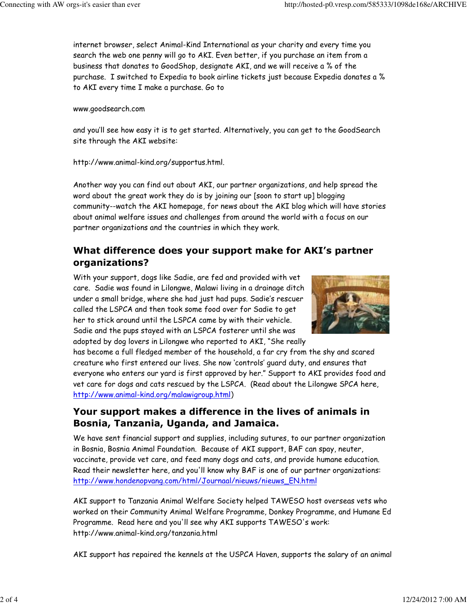internet browser, select Animal-Kind International as your charity and every time you search the web one penny will go to AKI. Even better, if you purchase an item from a business that donates to GoodShop, designate AKI, and we will receive a % of the purchase. I switched to Expedia to book airline tickets just because Expedia donates a % to AKI every time I make a purchase. Go to

## www.goodsearch.com

and you'll see how easy it is to get started. Alternatively, you can get to the GoodSearch site through the AKI website:

http://www.animal-kind.org/supportus.html.

Another way you can find out about AKI, our partner organizations, and help spread the word about the great work they do is by joining our [soon to start up] blogging community--watch the AKI homepage, for news about the AKI blog which will have stories about animal welfare issues and challenges from around the world with a focus on our partner organizations and the countries in which they work.

## What difference does your support make for AKI's partner organizations?

With your support, dogs like Sadie, are fed and provided with vet care. Sadie was found in Lilongwe, Malawi living in a drainage ditch under a small bridge, where she had just had pups. Sadie's rescuer called the LSPCA and then took some food over for Sadie to get her to stick around until the LSPCA came by with their vehicle. Sadie and the pups stayed with an LSPCA fosterer until she was adopted by dog lovers in Lilongwe who reported to AKI, "She really



has become a full fledged member of the household, a far cry from the shy and scared creature who first entered our lives. She now 'controls' guard duty, and ensures that everyone who enters our yard is first approved by her." Support to AKI provides food and vet care for dogs and cats rescued by the LSPCA. (Read about the Lilongwe SPCA here, http://www.animal-kind.org/malawigroup.html)

## Your support makes a difference in the lives of animals in Bosnia, Tanzania, Uganda, and Jamaica.

We have sent financial support and supplies, including sutures, to our partner organization in Bosnia, Bosnia Animal Foundation. Because of AKI support, BAF can spay, neuter, vaccinate, provide vet care, and feed many dogs and cats, and provide humane education. Read their newsletter here, and you'll know why BAF is one of our partner organizations: http://www.hondenopvang.com/html/Journaal/nieuws/nieuws\_EN.html

AKI support to Tanzania Animal Welfare Society helped TAWESO host overseas vets who worked on their Community Animal Welfare Programme, Donkey Programme, and Humane Ed Programme. Read here and you'll see why AKI supports TAWESO's work: http://www.animal-kind.org/tanzania.html

AKI support has repaired the kennels at the USPCA Haven, supports the salary of an animal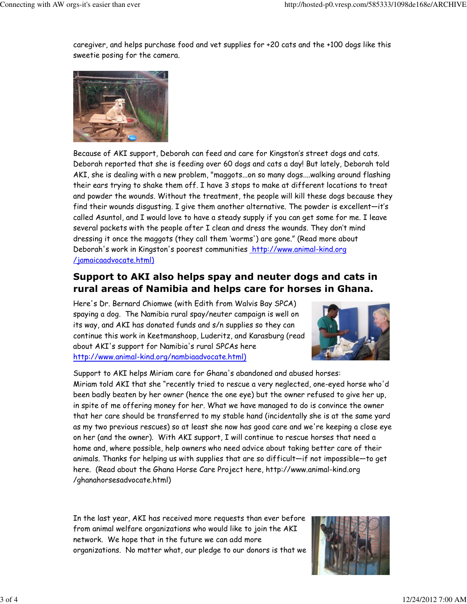caregiver, and helps purchase food and vet supplies for +20 cats and the +100 dogs like this sweetie posing for the camera.



Because of AKI support, Deborah can feed and care for Kingston's street dogs and cats. Deborah reported that she is feeding over 60 dogs and cats a day! But lately, Deborah told AKI, she is dealing with a new problem, "maggots...on so many dogs....walking around flashing their ears trying to shake them off. I have 3 stops to make at different locations to treat and powder the wounds. Without the treatment, the people will kill these dogs because they find their wounds disgusting. I give them another alternative. The powder is excellent—it's called Asuntol, and I would love to have a steady supply if you can get some for me. I leave several packets with the people after I clean and dress the wounds. They don't mind dressing it once the maggots (they call them 'worms') are gone." (Read more about Deborah's work in Kingston's poorest communities http://www.animal-kind.org /jamaicaadvocate.html)

## Support to AKI also helps spay and neuter dogs and cats in rural areas of Namibia and helps care for horses in Ghana.

Here's Dr. Bernard Chiomwe (with Edith from Walvis Bay SPCA) spaying a dog. The Namibia rural spay/neuter campaign is well on its way, and AKI has donated funds and s/n supplies so they can continue this work in Keetmanshoop, Luderitz, and Karasburg (read about AKI's support for Namibia's rural SPCAs here http://www.animal-kind.org/nambiaadvocate.html)



Support to AKI helps Miriam care for Ghana's abandoned and abused horses: Miriam told AKI that she "recently tried to rescue a very neglected, one-eyed horse who'd been badly beaten by her owner (hence the one eye) but the owner refused to give her up, in spite of me offering money for her. What we have managed to do is convince the owner that her care should be transferred to my stable hand (incidentally she is at the same yard as my two previous rescues) so at least she now has good care and we're keeping a close eye on her (and the owner). With AKI support, I will continue to rescue horses that need a home and, where possible, help owners who need advice about taking better care of their animals. Thanks for helping us with supplies that are so difficult—if not impossible—to get here. (Read about the Ghana Horse Care Project here, http://www.animal-kind.org /ghanahorsesadvocate.html)

In the last year, AKI has received more requests than ever before from animal welfare organizations who would like to join the AKI network. We hope that in the future we can add more organizations. No matter what, our pledge to our donors is that we